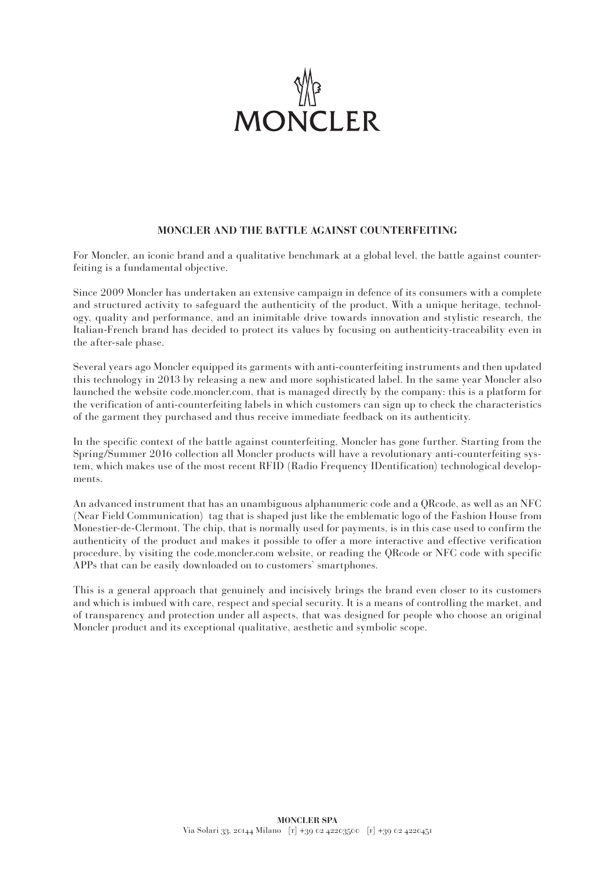

## **MONCLER AND THE BATTLE AGAINST COUNTERFEITING**

For Moncler, an iconic brand and a qualitative benchmark at a global level, the battle against counterfeiting is a fundamental objective.

Since 2009 Moncler has undertaken an extensive campaign in defence of its consumers with a complete and structured activity to safeguard the authenticity of the product. With a unique heritage, technology, quality and performance, and an inimitable drive towards innovation and stylistic research, the Italian-French brand has decided to protect its values by focusing on authenticity-traceability even in the after-sale phase.

Several years ago Moncler equipped its garments with anti-counterfeiting instruments and then updated this technology in 2013 by releasing a new and more sophisticated label. In the same year Moncler also launched the website code.moncler.com, that is managed directly by the company: this is a platform for the verification of anti-counterfeiting labels in which customers can sign up to check the characteristics of the garment they purchased and thus receive immediate feedback on its authenticity.

In the specific context of the battle against counterfeiting, Moncler has gone further. Starting from the Spring/Summer 2016 collection all Moncler products will have a revolutionary anti-counterfeiting system, which makes use of the most recent RFID (Radio Frequency IDentification) technological developments.

An advanced instrument that has an unambiguous alphanumeric code and a QRcode, as well as an NFC (Near Field Communication) tag that is shaped just like the emblematic logo of the Fashion House from Monestier-de-Clermont. The chip, that is normally used for payments, is in this case used to confirm the authenticity of the product and makes it possible to offer a more interactive and effective verification procedure, by visiting the code.moncler.com website, or reading the QRcode or NFC code with specific APPs that can be easily downloaded on to customers' smartphones.

This is a general approach that genuinely and incisively brings the brand even closer to its customers and which is imbued with care, respect and special security. It is a means of controlling the market, and of transparency and protection under all aspects, that was designed for people who choose an original Moncler product and its exceptional qualitative, aesthetic and symbolic scope.